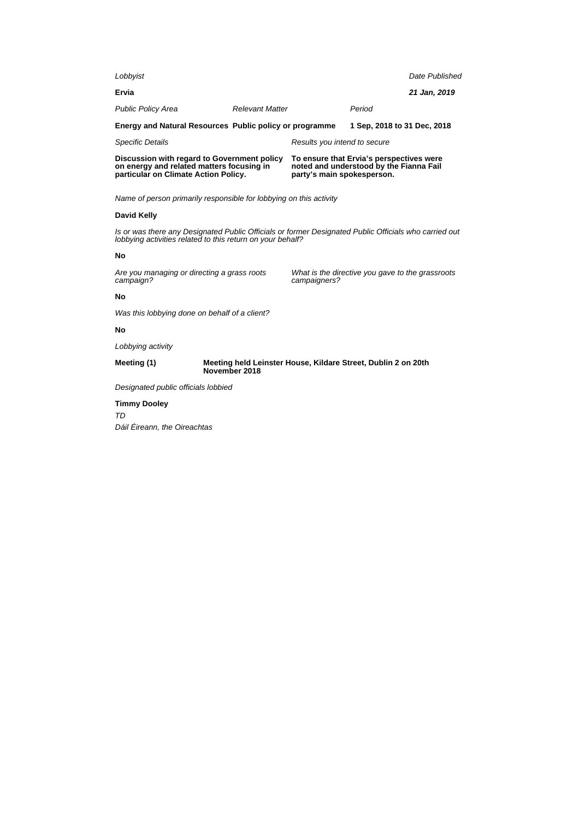| Discussion with regard to Government policy<br>on energy and related matters focusing in<br>particular on Climate Action Policy. |  | To ensure that Ervia's perspectives were<br>noted and understood by the Fianna Fail<br>party's main spokesperson. |  |                |
|----------------------------------------------------------------------------------------------------------------------------------|--|-------------------------------------------------------------------------------------------------------------------|--|----------------|
| Energy and Natural Resources Public policy or programme<br><b>Specific Details</b>                                               |  | 1 Sep. 2018 to 31 Dec. 2018<br>Results you intend to secure                                                       |  |                |
|                                                                                                                                  |  |                                                                                                                   |  |                |
| Ervia                                                                                                                            |  |                                                                                                                   |  | 21 Jan, 2019   |
| Lobbyist                                                                                                                         |  |                                                                                                                   |  | Date Published |

Name of person primarily responsible for lobbying on this activity

## **David Kelly**

Is or was there any Designated Public Officials or former Designated Public Officials who carried out lobbying activities related to this return on your behalf?

### **No**

Are you managing or directing a grass roots campaign?

What is the directive you gave to the grassroots campaigners?

## **No**

Was this lobbying done on behalf of a client?

## **No**

Lobbying activity

**Meeting (1) Meeting held Leinster House, Kildare Street, Dublin 2 on 20th November 2018**

Designated public officials lobbied

## **Timmy Dooley**

TD Dáil Éireann, the Oireachtas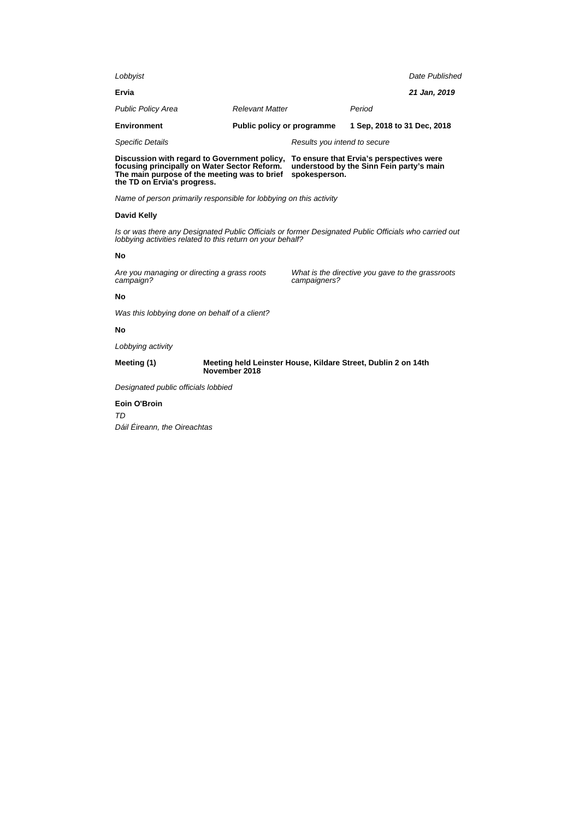| Biannacha mith nanaul ta Annammant nallan . Ta anamma that Furiala nananaathaa mana |                              |  |                             |                |
|-------------------------------------------------------------------------------------|------------------------------|--|-----------------------------|----------------|
| <b>Specific Details</b>                                                             | Results you intend to secure |  |                             |                |
| <b>Environment</b>                                                                  | Public policy or programme   |  | 1 Sep. 2018 to 31 Dec. 2018 |                |
| <b>Public Policy Area</b>                                                           | <b>Relevant Matter</b>       |  | Period                      |                |
| Ervia                                                                               |                              |  |                             | 21 Jan, 2019   |
| Lobbyist                                                                            |                              |  |                             | Date Published |
|                                                                                     |                              |  |                             |                |

**Discussion with regard to Government policy, focusing principally on Water Sector Reform. The main purpose of the meeting was to brief the TD on Ervia's progress. To ensure that Ervia's perspectives were understood by the Sinn Fein party's main spokesperson.**

Name of person primarily responsible for lobbying on this activity

## **David Kelly**

Is or was there any Designated Public Officials or former Designated Public Officials who carried out lobbying activities related to this return on your behalf?

### **No**

Are you managing or directing a grass roots campaign?

What is the directive you gave to the grassroots campaigners?

### **No**

Was this lobbying done on behalf of a client?

## **No**

Lobbying activity

**Meeting (1) Meeting held Leinster House, Kildare Street, Dublin 2 on 14th November 2018**

Designated public officials lobbied

### **Eoin O'Broin**

TD Dáil Éireann, the Oireachtas